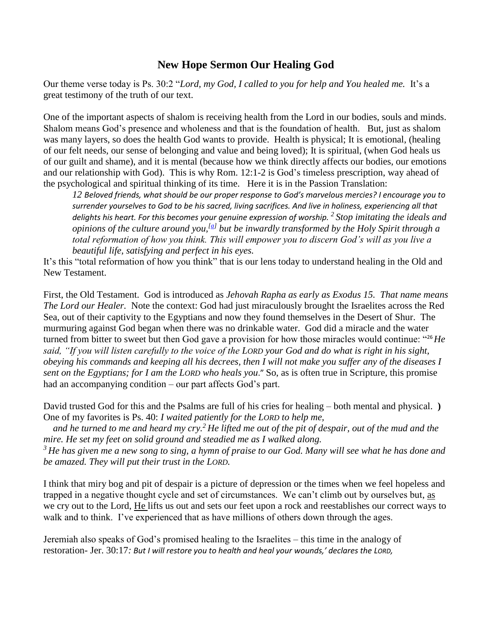## **New Hope Sermon Our Healing God**

Our theme verse today is Ps. 30:2 "*Lord, my God, I called to you for help and You healed me.* It's a great testimony of the truth of our text.

One of the important aspects of shalom is receiving health from the Lord in our bodies, souls and minds. Shalom means God's presence and wholeness and that is the foundation of health. But, just as shalom was many layers, so does the health God wants to provide. Health is physical; It is emotional, (healing of our felt needs, our sense of belonging and value and being loved); It is spiritual, (when God heals us of our guilt and shame), and it is mental (because how we think directly affects our bodies, our emotions and our relationship with God). This is why Rom. 12:1-2 is God's timeless prescription, way ahead of the psychological and spiritual thinking of its time. Here it is in the Passion Translation:

*12 Beloved friends, what should be our proper response to God's marvelous mercies? I encourage you to surrender yourselves to God to be his sacred, living sacrifices. And live in holiness, experiencing all that delights his heart. For this becomes your genuine expression of worship. <sup>2</sup> Stop imitating the ideals and opinions of the culture around you,[\[a\]](https://www.biblegateway.com/passage/?search=Rom.12%3A1-3&version=TPT#fen-TPT-8284a) but be inwardly transformed by the Holy Spirit through a total reformation of how you think. This will empower you to discern God's will as you live a beautiful life, satisfying and perfect in his eyes.*

It's this "total reformation of how you think" that is our lens today to understand healing in the Old and New Testament.

First, the Old Testament. God is introduced as *Jehovah Rapha as early as Exodus 15. That name means The Lord our Healer.* Note the context: God had just miraculously brought the Israelites across the Red Sea, out of their captivity to the Egyptians and now they found themselves in the Desert of Shur. The murmuring against God began when there was no drinkable water. God did a miracle and the water turned from bitter to sweet but then God gave a provision for how those miracles would continue: "26*He said, "If you will listen carefully to the voice of the LORD your God and do what is right in his sight, obeying his commands and keeping all his decrees, then I will not make you suffer any of the diseases I sent on the Egyptians; for I am the LORD who heals you*." So, as is often true in Scripture, this promise had an accompanying condition – our part affects God's part.

David trusted God for this and the Psalms are full of his cries for healing – both mental and physical. **)** One of my favorites is Ps. 40: *I waited patiently for the LORD to help me,*

 *and he turned to me and heard my cry.<sup>2</sup> He lifted me out of the pit of despair, out of the mud and the mire. He set my feet on solid ground and steadied me as I walked along.*

*<sup>3</sup> He has given me a new song to sing, a hymn of praise to our God. Many will see what he has done and be amazed. They will put their trust in the LORD.*

I think that miry bog and pit of despair is a picture of depression or the times when we feel hopeless and trapped in a negative thought cycle and set of circumstances. We can't climb out by ourselves but, as we cry out to the Lord, He lifts us out and sets our feet upon a rock and reestablishes our correct ways to walk and to think. I've experienced that as have millions of others down through the ages.

Jeremiah also speaks of God's promised healing to the Israelites – this time in the analogy of restoration- Jer. 30:17*: But I will restore you to health and heal your wounds,' declares the LORD,*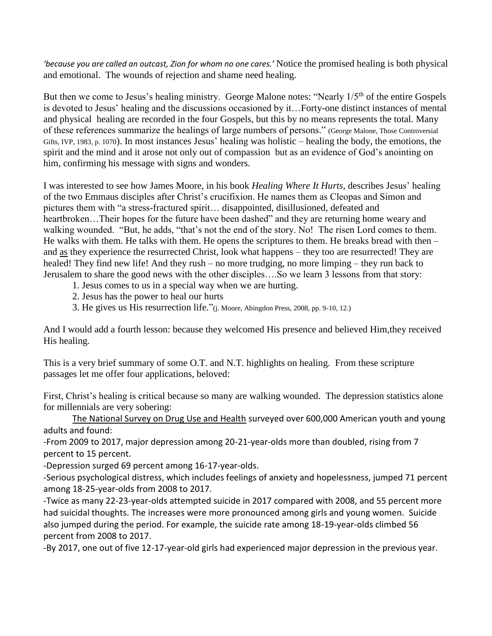*'because you are called an outcast, Zion for whom no one cares.'* Notice the promised healing is both physical and emotional. The wounds of rejection and shame need healing.

But then we come to Jesus's healing ministry. George Malone notes: "Nearly 1/5<sup>th</sup> of the entire Gospels is devoted to Jesus' healing and the discussions occasioned by it…Forty-one distinct instances of mental and physical healing are recorded in the four Gospels, but this by no means represents the total. Many of these references summarize the healings of large numbers of persons." (George Malone, Those Controversial Gifts, IVP, 1983, p. 1070). In most instances Jesus' healing was holistic – healing the body, the emotions, the spirit and the mind and it arose not only out of compassion but as an evidence of God's anointing on him, confirming his message with signs and wonders.

I was interested to see how James Moore, in his book *Healing Where It Hurts,* describes Jesus' healing of the two Emmaus disciples after Christ's crucifixion. He names them as Cleopas and Simon and pictures them with "a stress-fractured spirit… disappointed, disillusioned, defeated and heartbroken...Their hopes for the future have been dashed" and they are returning home weary and walking wounded. "But, he adds, "that's not the end of the story. No! The risen Lord comes to them. He walks with them. He talks with them. He opens the scriptures to them. He breaks bread with then – and as they experience the resurrected Christ, look what happens – they too are resurrected! They are healed! They find new life! And they rush – no more trudging, no more limping – they run back to Jerusalem to share the good news with the other disciples….So we learn 3 lessons from that story:

- 1. Jesus comes to us in a special way when we are hurting.
- 2. Jesus has the power to heal our hurts
- 3. He gives us His resurrection life."(j. Moore, Abingdon Press, 2008, pp. 9-10, 12.)

And I would add a fourth lesson: because they welcomed His presence and believed Him,they received His healing.

This is a very brief summary of some O.T. and N.T. highlights on healing. From these scripture passages let me offer four applications, beloved:

First, Christ's healing is critical because so many are walking wounded. The depression statistics alone for millennials are very sobering:

[The National Survey on Drug Use and Health](https://nsduhweb.rti.org/respweb/homepage.cfm) surveyed over 600,000 American youth and young adults and found:

-From 2009 to 2017, major depression among 20-21-year-olds more than doubled, rising from 7 percent to 15 percent.

-Depression surged 69 percent among 16-17-year-olds.

-Serious psychological distress, which includes feelings of anxiety and hopelessness, jumped 71 percent among 18-25-year-olds from 2008 to 2017.

-Twice as many 22-23-year-olds attempted suicide in 2017 compared with 2008, and 55 percent more had suicidal thoughts. The increases were more pronounced among girls and young women. Suicide also jumped during the period. For example, the suicide rate among 18-19-year-olds climbed 56 percent from 2008 to 2017.

-By 2017, one out of five 12-17-year-old girls had experienced major depression in the previous year.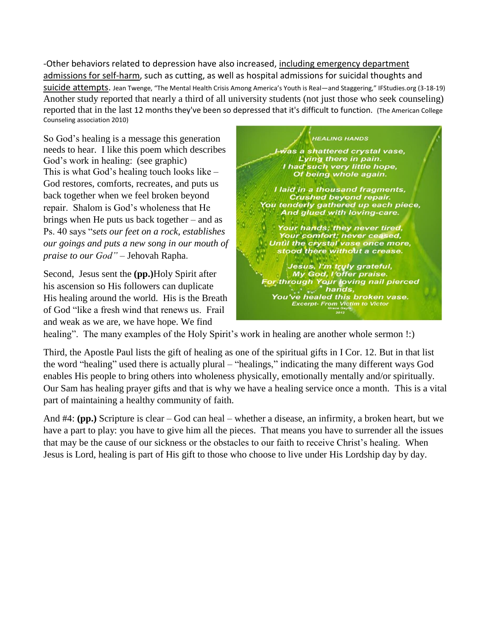-Other behaviors related to depression have also increased, [including emergency department](https://jamanetwork.com/journals/jama/fullarticle/2664031)  [admissions for self-harm,](https://jamanetwork.com/journals/jama/fullarticle/2664031) such as cutting, as well as hospital admissions for suicidal thoughts and [suicide attempts.](https://pediatrics.aappublications.org/content/141/6/e20172426) Jean Twenge, "The Mental Health Crisis Among America's Youth is Real—and Staggering," IFStudies.org (3-18-19) Another study reported that nearly a third of all university students (not just those who seek counseling) reported that in the last 12 months they've been so depressed that it's difficult to function. (The American College Counseling association 2010)

So God's healing is a message this generation needs to hear. I like this poem which describes God's work in healing: (see graphic) This is what God's healing touch looks like – God restores, comforts, recreates, and puts us back together when we feel broken beyond repair. Shalom is God's wholeness that He brings when He puts us back together – and as Ps. 40 says "*sets our feet on a rock, establishes our goings and puts a new song in our mouth of praise to our God"* – Jehovah Rapha.

Second, Jesus sent the **(pp.)**Holy Spirit after his ascension so His followers can duplicate His healing around the world. His is the Breath of God "like a fresh wind that renews us. Frail and weak as we are, we have hope. We find



healing". The many examples of the Holy Spirit's work in healing are another whole sermon !:)

Third, the Apostle Paul lists the gift of healing as one of the spiritual gifts in I Cor. 12. But in that list the word "healing" used there is actually plural – "healings," indicating the many different ways God enables His people to bring others into wholeness physically, emotionally mentally and/or spiritually. Our Sam has healing prayer gifts and that is why we have a healing service once a month. This is a vital part of maintaining a healthy community of faith.

And #4: **(pp.)** Scripture is clear – God can heal – whether a disease, an infirmity, a broken heart, but we have a part to play: you have to give him all the pieces. That means you have to surrender all the issues that may be the cause of our sickness or the obstacles to our faith to receive Christ's healing. When Jesus is Lord, healing is part of His gift to those who choose to live under His Lordship day by day.